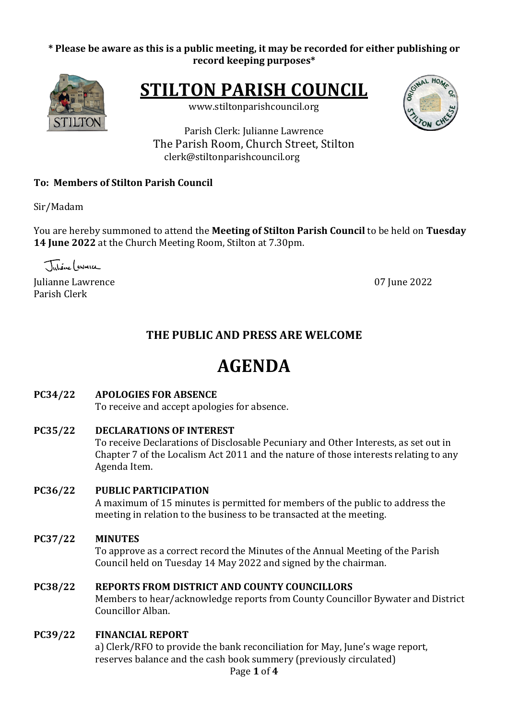# \* Please be aware as this is a public meeting, it may be recorded for either publishing or **record keeping purposes\***



**STILTON PARISH COUNCIL** 

www.stiltonparishcouncil.org



Parish Clerk: Julianne Lawrence The Parish Room, Church Street, Stilton clerk@stiltonparishcouncil.org

# **To: Members of Stilton Parish Council**

Sir/Madam

You are hereby summoned to attend the Meeting of Stilton Parish Council to be held on Tuesday **14 June 2022** at the Church Meeting Room, Stilton at 7.30pm.

Juliane (awresce

Iulianne Lawrence **07** June 2022 Parish Clerk

# **THE PUBLIC AND PRESS ARE WELCOME**

# **AGENDA**

# **PC34/22 APOLOGIES FOR ABSENCE**

To receive and accept apologies for absence.

**PC35/22 DECLARATIONS OF INTEREST** To receive Declarations of Disclosable Pecuniary and Other Interests, as set out in

Chapter 7 of the Localism Act 2011 and the nature of those interests relating to any Agenda Item.

# **PC36/22 PUBLIC PARTICIPATION**

A maximum of 15 minutes is permitted for members of the public to address the meeting in relation to the business to be transacted at the meeting.

# **PC37/22 MINUTES**

To approve as a correct record the Minutes of the Annual Meeting of the Parish Council held on Tuesday 14 May 2022 and signed by the chairman.

# **PC38/22 REPORTS FROM DISTRICT AND COUNTY COUNCILLORS**

Members to hear/acknowledge reports from County Councillor Bywater and District Councillor Alban.

# **PC39/22 FINANCIAL REPORT**

a) Clerk/RFO to provide the bank reconciliation for May, June's wage report, reserves balance and the cash book summery (previously circulated)

Page **1** of **4**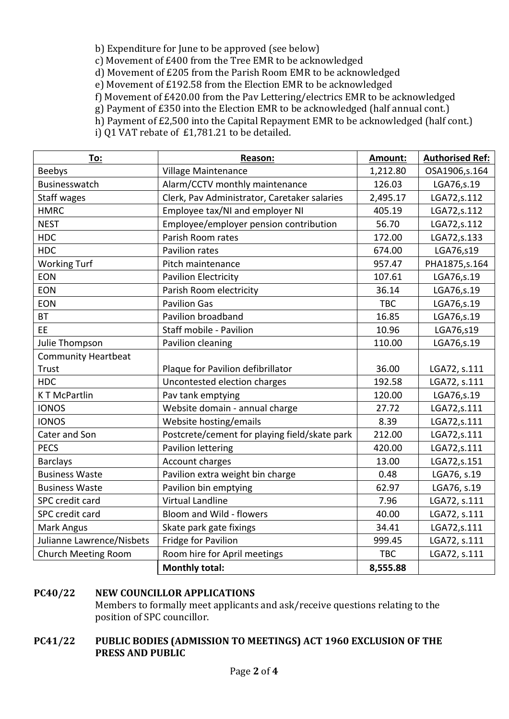b) Expenditure for June to be approved (see below)

c) Movement of £400 from the Tree EMR to be acknowledged

d) Movement of £205 from the Parish Room EMR to be acknowledged

e) Movement of £192.58 from the Election EMR to be acknowledged

f) Movement of £420.00 from the Pav Lettering/electrics EMR to be acknowledged

g) Payment of  $£350$  into the Election EMR to be acknowledged (half annual cont.)

h) Payment of £2,500 into the Capital Repayment EMR to be acknowledged (half cont.)

i) Q1 VAT rebate of  $£1,781.21$  to be detailed.

| To:                        | Reason:                                       | Amount:    | <b>Authorised Ref:</b> |
|----------------------------|-----------------------------------------------|------------|------------------------|
| <b>Beebys</b>              | Village Maintenance                           | 1,212.80   | OSA1906,s.164          |
| Businesswatch              | Alarm/CCTV monthly maintenance                | 126.03     | LGA76, s.19            |
| <b>Staff wages</b>         | Clerk, Pav Administrator, Caretaker salaries  | 2,495.17   | LGA72,s.112            |
| <b>HMRC</b>                | Employee tax/NI and employer NI               | 405.19     | LGA72,s.112            |
| <b>NEST</b>                | Employee/employer pension contribution        | 56.70      | LGA72,s.112            |
| <b>HDC</b>                 | Parish Room rates                             | 172.00     | LGA72, s.133           |
| <b>HDC</b>                 | Pavilion rates                                | 674.00     | LGA76,s19              |
| <b>Working Turf</b>        | Pitch maintenance                             | 957.47     | PHA1875, s. 164        |
| <b>EON</b>                 | <b>Pavilion Electricity</b>                   | 107.61     | LGA76,s.19             |
| <b>EON</b>                 | Parish Room electricity                       | 36.14      | LGA76,s.19             |
| <b>EON</b>                 | <b>Pavilion Gas</b>                           | <b>TBC</b> | LGA76, s.19            |
| <b>BT</b>                  | Pavilion broadband                            | 16.85      | LGA76, s.19            |
| EE                         | Staff mobile - Pavilion                       | 10.96      | LGA76,s19              |
| Julie Thompson             | Pavilion cleaning                             | 110.00     | LGA76, s.19            |
| <b>Community Heartbeat</b> |                                               |            |                        |
| <b>Trust</b>               | Plaque for Pavilion defibrillator             | 36.00      | LGA72, s.111           |
| <b>HDC</b>                 | Uncontested election charges                  | 192.58     | LGA72, s.111           |
| <b>KT McPartlin</b>        | Pav tank emptying                             | 120.00     | LGA76, s.19            |
| <b>IONOS</b>               | Website domain - annual charge                | 27.72      | LGA72,s.111            |
| <b>IONOS</b>               | Website hosting/emails                        | 8.39       | LGA72,s.111            |
| Cater and Son              | Postcrete/cement for playing field/skate park | 212.00     | LGA72,s.111            |
| <b>PECS</b>                | Pavilion lettering                            | 420.00     | LGA72,s.111            |
| <b>Barclays</b>            | <b>Account charges</b>                        | 13.00      | LGA72,s.151            |
| <b>Business Waste</b>      | Pavilion extra weight bin charge              | 0.48       | LGA76, s.19            |
| <b>Business Waste</b>      | Pavilion bin emptying                         | 62.97      | LGA76, s.19            |
| SPC credit card            | <b>Virtual Landline</b>                       | 7.96       | LGA72, s.111           |
| SPC credit card            | Bloom and Wild - flowers                      | 40.00      | LGA72, s.111           |
| Mark Angus                 | Skate park gate fixings                       | 34.41      | LGA72,s.111            |
| Julianne Lawrence/Nisbets  | Fridge for Pavilion                           | 999.45     | LGA72, s.111           |
| <b>Church Meeting Room</b> | Room hire for April meetings                  | <b>TBC</b> | LGA72, s.111           |
|                            | <b>Monthly total:</b>                         | 8,555.88   |                        |

# **PC40/22 NEW COUNCILLOR APPLICATIONS**

Members to formally meet applicants and ask/receive questions relating to the position of SPC councillor.

# **PC41/22** PUBLIC BODIES (ADMISSION TO MEETINGS) ACT 1960 EXCLUSION OF THE **PRESS AND PUBLIC**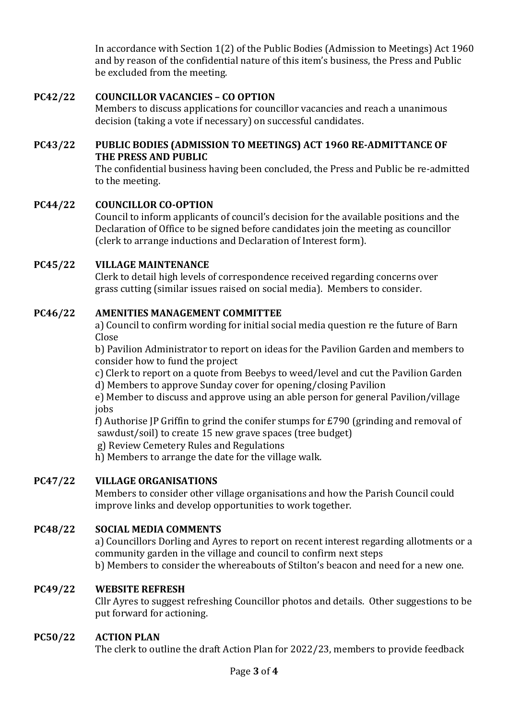In accordance with Section  $1(2)$  of the Public Bodies (Admission to Meetings) Act 1960 and by reason of the confidential nature of this item's business, the Press and Public be excluded from the meeting.

# **PC42/22 COUNCILLOR VACANCIES – CO OPTION**

Members to discuss applications for councillor vacancies and reach a unanimous decision (taking a vote if necessary) on successful candidates.

### **PC43/22** PUBLIC BODIES (ADMISSION TO MEETINGS) ACT 1960 RE-ADMITTANCE OF **THE PRESS AND PUBLIC**

The confidential business having been concluded, the Press and Public be re-admitted to the meeting.

# **PC44/22 COUNCILLOR CO-OPTION**

Council to inform applicants of council's decision for the available positions and the Declaration of Office to be signed before candidates join the meeting as councillor (clerk to arrange inductions and Declaration of Interest form).

## **PC45/22 VILLAGE MAINTENANCE**

Clerk to detail high levels of correspondence received regarding concerns over grass cutting (similar issues raised on social media). Members to consider.

## **PC46/22 AMENITIES MANAGEMENT COMMITTEE**

a) Council to confirm wording for initial social media question re the future of Barn Close

b) Pavilion Administrator to report on ideas for the Pavilion Garden and members to consider how to fund the project

c) Clerk to report on a quote from Beebys to weed/level and cut the Pavilion Garden d) Members to approve Sunday cover for opening/closing Pavilion

e) Member to discuss and approve using an able person for general Pavilion/village jobs

f) Authorise JP Griffin to grind the conifer stumps for  $E$ 790 (grinding and removal of sawdust/soil) to create 15 new grave spaces (tree budget)

g) Review Cemetery Rules and Regulations

h) Members to arrange the date for the village walk.

# **PC47/22 VILLAGE ORGANISATIONS**

Members to consider other village organisations and how the Parish Council could improve links and develop opportunities to work together.

# **PC48/22 SOCIAL MEDIA COMMENTS**

a) Councillors Dorling and Ayres to report on recent interest regarding allotments or a community garden in the village and council to confirm next steps

b) Members to consider the whereabouts of Stilton's beacon and need for a new one.

### **PC49/22 WEBSITE REFRESH**

Cllr Ayres to suggest refreshing Councillor photos and details. Other suggestions to be put forward for actioning.

### **PC50/22 ACTION PLAN**

The clerk to outline the draft Action Plan for  $2022/23$ , members to provide feedback